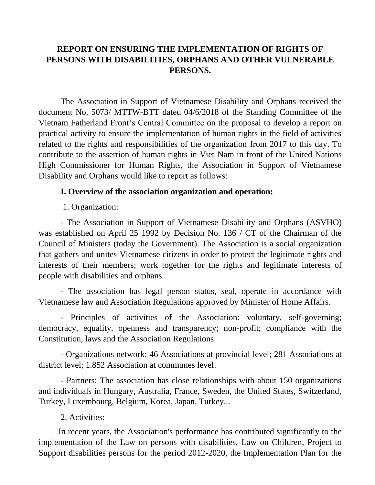## **REPORT ON ENSURING THE IMPLEMENTATION OF RIGHTS OF PERSONS WITH DISABILITIES, ORPHANS AND OTHER VULNERABLE PERSONS.**

The Association in Support of Vietnamese Disability and Orphans received the document No. 5073/ MTTW-BTT dated 04/6/2018 of the Standing Committee of the Vietnam Fatherland Front's Central Committee on the proposal to develop a report on practical activity to ensure the implementation of human rights in the field of activities related to the rights and responsibilities of the organization from 2017 to this day. To contribute to the assertion of human rights in Viet Nam in front of the United Nations High Commissioner for Human Rights, the Association in Support of Vietnamese Disability and Orphans would like to report as follows:

### **I. Overview of the association organization and operation:**

1. Organization:

- The Association in Support of Vietnamese Disability and Orphans (ASVHO) was established on April 25 1992 by Decision No. 136 / CT of the Chairman of the Council of Ministers (today the Government). The Association is a social organization that gathers and unites Vietnamese citizens in order to protect the legitimate rights and interests of their members; work together for the rights and legitimate interests of people with disabilities and orphans.

- The association has legal person status, seal, operate in accordance with Vietnamese law and Association Regulations approved by Minister of Home Affairs.

- Principles of activities of the Association: voluntary, self-governing; democracy, equality, openness and transparency; non-profit; compliance with the Constitution, laws and the Association Regulations.

- Organizations network: 46 Associations at provincial level; 281 Associations at district level; 1.852 Association at communes level.

- Partners: The association has close relationships with about 150 organizations and individuals in Hungary, Australia, France, Sweden, the United States, Switzerland, Turkey, Luxembourg, Belgium, Korea, Japan, Turkey...

2. Activities:

 In recent years, the Association's performance has contributed significantly to the implementation of the Law on persons with disabilities, Law on Children, Project to Support disabilities persons for the period 2012-2020, the Implementation Plan for the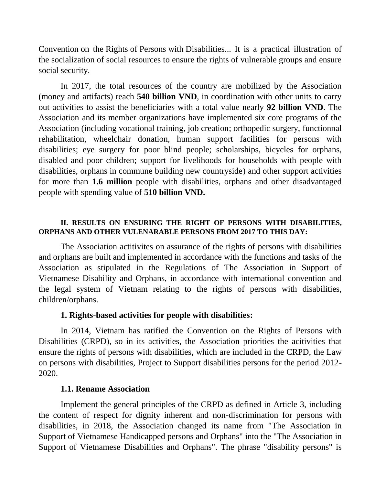Convention on the Rights of Persons with Disabilities... It is a practical illustration of the socialization of social resources to ensure the rights of vulnerable groups and ensure social security.

In 2017, the total resources of the country are mobilized by the Association (money and artifacts) reach **540 billion VND**, in coordination with other units to carry out activities to assist the beneficiaries with a total value nearly **92 billion VND**. The Association and its member organizations have implemented six core programs of the Association (including vocational training, job creation; orthopedic surgery, functionnal rehabilitation, wheelchair donation, human support facilities for persons with disabilities; eye surgery for poor blind people; scholarships, bicycles for orphans, disabled and poor children; support for livelihoods for households with people with disabilities, orphans in commune building new countryside) and other support activities for more than **1.6 million** people with disabilities, orphans and other disadvantaged people with spending value of **510 billion VND.**

#### **II. RESULTS ON ENSURING THE RIGHT OF PERSONS WITH DISABILITIES, ORPHANS AND OTHER VULENARABLE PERSONS FROM 2017 TO THIS DAY:**

The Association actitivites on assurance of the rights of persons with disabilities and orphans are built and implemented in accordance with the functions and tasks of the Association as stipulated in the Regulations of The Association in Support of Vietnamese Disability and Orphans, in accordance with international convention and the legal system of Vietnam relating to the rights of persons with disabilities, children/orphans.

#### **1. Rights-based activities for people with disabilities:**

In 2014, Vietnam has ratified the Convention on the Rights of Persons with Disabilities (CRPD), so in its activities, the Association priorities the acitivities that ensure the rights of persons with disabilities, which are included in the CRPD, the Law on persons with disabilities, Project to Support disabilities persons for the period 2012- 2020.

#### **1.1. Rename Association**

Implement the general principles of the CRPD as defined in Article 3, including the content of respect for dignity inherent and non-discrimination for persons with disabilities, in 2018, the Association changed its name from "The Association in Support of Vietnamese Handicapped persons and Orphans" into the "The Association in Support of Vietnamese Disabilities and Orphans". The phrase "disability persons" is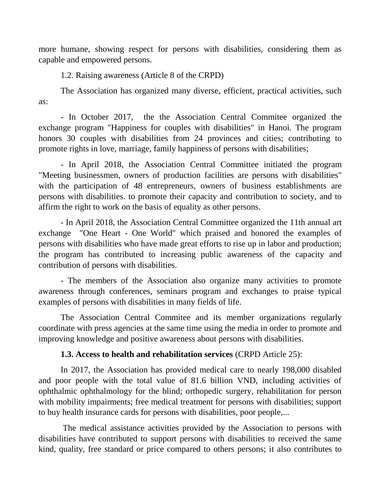more humane, showing respect for persons with disabilities, considering them as capable and empowered persons.

1.2. Raising awareness (Article 8 of the CRPD)

The Association has organized many diverse, efficient, practical activities, such as:

- In October 2017, the the Association Central Commitee organized the exchange program "Happiness for couples with disabilities" in Hanoi. The program honors 30 couples with disabilities from 24 provinces and cities; contributing to promote rights in love, marriage, family happiness of persons with disabilities;

- In April 2018, the Association Central Committee initiated the program "Meeting businessmen, owners of production facilities are persons with disabilities" with the participation of 48 entrepreneurs, owners of business establishments are persons with disabilities. to promote their capacity and contribution to society, and to affirm the right to work on the basis of equality as other persons.

- In April 2018, the Association Central Committee organized the 11th annual art exchange "One Heart - One World" which praised and honored the examples of persons with disabilities who have made great efforts to rise up in labor and production; the program has contributed to increasing public awareness of the capacity and contribution of persons with disabilities.

- The members of the Association also organize many activities to promote awareness through conferences, seminars program and exchanges to praise typical examples of persons with disabilities in many fields of life.

The Association Central Commitee and its member organizations regularly coordinate with press agencies at the same time using the media in order to promote and improving knowledge and positive awareness about persons with disabilities.

# **1.3. Access to health and rehabilitation services** (CRPD Article 25):

In 2017, the Association has provided medical care to nearly 198,000 disabled and poor people with the total value of 81.6 billion VND, including activities of ophthalmic ophthalmology for the blind; orthopedic surgery, rehabilitation for person with mobility impairments; free medical treatment for persons with disabilities; support to buy health insurance cards for persons with disabilities, poor people,...

The medical assistance activities provided by the Association to persons with disabilities have contributed to support persons with disabilities to received the same kind, quality, free standard or price compared to others persons; it also contributes to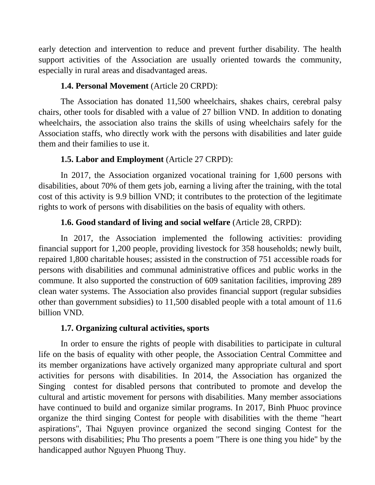early detection and intervention to reduce and prevent further disability. The health support activities of the Association are usually oriented towards the community, especially in rural areas and disadvantaged areas.

## **1.4. Personal Movement** (Article 20 CRPD):

The Association has donated 11,500 wheelchairs, shakes chairs, cerebral palsy chairs, other tools for disabled with a value of 27 billion VND. In addition to donating wheelchairs, the association also trains the skills of using wheelchairs safely for the Association staffs, who directly work with the persons with disabilities and later guide them and their families to use it.

# **1.5. Labor and Employment** (Article 27 CRPD):

In 2017, the Association organized vocational training for 1,600 persons with disabilities, about 70% of them gets job, earning a living after the training, with the total cost of this activity is 9.9 billion VND; it contributes to the protection of the legitimate rights to work of persons with disabilities on the basis of equality with others.

# **1.6. Good standard of living and social welfare** (Article 28, CRPD):

In 2017, the Association implemented the following activities: providing financial support for 1,200 people, providing livestock for 358 households; newly built, repaired 1,800 charitable houses; assisted in the construction of 751 accessible roads for persons with disabilities and communal administrative offices and public works in the commune. It also supported the construction of 609 sanitation facilities, improving 289 clean water systems. The Association also provides financial support (regular subsidies other than government subsidies) to 11,500 disabled people with a total amount of 11.6 billion VND.

# **1.7. Organizing cultural activities, sports**

In order to ensure the rights of people with disabilities to participate in cultural life on the basis of equality with other people, the Association Central Committee and its member organizations have actively organized many appropriate cultural and sport activities for persons with disabilities. In 2014, the Association has organized the Singing contest for disabled persons that contributed to promote and develop the cultural and artistic movement for persons with disabilities. Many member associations have continued to build and organize similar programs. In 2017, Binh Phuoc province organize the third singing Contest for people with disabilities with the theme "heart aspirations", Thai Nguyen province organized the second singing Contest for the persons with disabilities; Phu Tho presents a poem "There is one thing you hide" by the handicapped author Nguyen Phuong Thuy.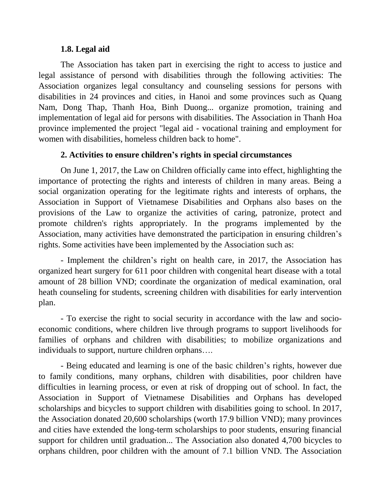### **1.8. Legal aid**

The Association has taken part in exercising the right to access to justice and legal assistance of persond with disabilities through the following activities: The Association organizes legal consultancy and counseling sessions for persons with disabilities in 24 provinces and cities, in Hanoi and some provinces such as Quang Nam, Dong Thap, Thanh Hoa, Binh Duong... organize promotion, training and implementation of legal aid for persons with disabilities. The Association in Thanh Hoa province implemented the project "legal aid - vocational training and employment for women with disabilities, homeless children back to home".

### **2. Activities to ensure children's rights in special circumstances**

On June 1, 2017, the Law on Children officially came into effect, highlighting the importance of protecting the rights and interests of children in many areas. Being a social organization operating for the legitimate rights and interests of orphans, the Association in Support of Vietnamese Disabilities and Orphans also bases on the provisions of the Law to organize the activities of caring, patronize, protect and promote children's rights appropriately. In the programs implemented by the Association, many activities have demonstrated the participation in ensuring children's rights. Some activities have been implemented by the Association such as:

- Implement the children's right on health care, in 2017, the Association has organized heart surgery for 611 poor children with congenital heart disease with a total amount of 28 billion VND; coordinate the organization of medical examination, oral heath counseling for students, screening children with disabilities for early intervention plan.

- To exercise the right to social security in accordance with the law and socioeconomic conditions, where children live through programs to support livelihoods for families of orphans and children with disabilities; to mobilize organizations and individuals to support, nurture children orphans….

- Being educated and learning is one of the basic children's rights, however due to family conditions, many orphans, children with disabilities, poor children have difficulties in learning process, or even at risk of dropping out of school. In fact, the Association in Support of Vietnamese Disabilities and Orphans has developed scholarships and bicycles to support children with disabilities going to school. In 2017, the Association donated 20,600 scholarships (worth 17.9 billion VND); many provinces and cities have extended the long-term scholarships to poor students, ensuring financial support for children until graduation... The Association also donated 4,700 bicycles to orphans children, poor children with the amount of 7.1 billion VND. The Association